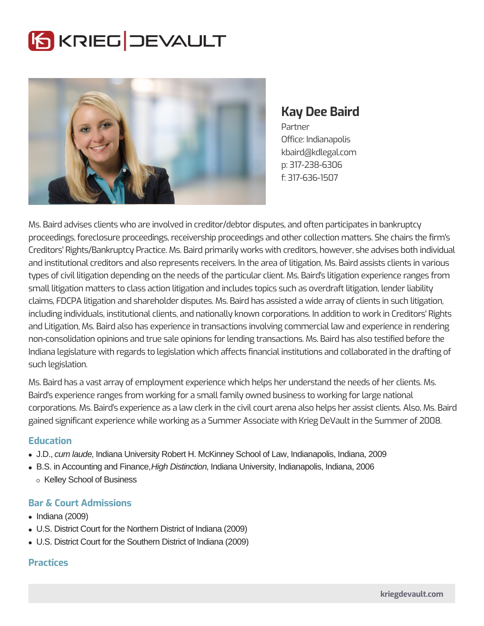# **SKRIEG JEVAULT**



**Kay Dee Baird**

Partner Office: Indianapolis kbaird@kdlegal.com p: 317-238-6306 f: 317-636-1507

Ms. Baird advises clients who are involved in creditor/debtor disputes, and often participates in bankruptcy proceedings, foreclosure proceedings, receivership proceedings and other collection matters. She chairs the firm's Creditors' Rights/Bankruptcy Practice. Ms. Baird primarily works with creditors, however, she advises both individual and institutional creditors and also represents receivers. In the area of litigation, Ms. Baird assists clients in various types of civil litigation depending on the needs of the particular client. Ms. Baird's litigation experience ranges from small litigation matters to class action litigation and includes topics such as overdraft litigation, lender liability claims, FDCPA litigation and shareholder disputes. Ms. Baird has assisted a wide array of clients in such litigation, including individuals, institutional clients, and nationally known corporations. In addition to work in Creditors' Rights and Litigation, Ms. Baird also has experience in transactions involving commercial law and experience in rendering non-consolidation opinions and true sale opinions for lending transactions. Ms. Baird has also testified before the Indiana legislature with regards to legislation which affects financial institutions and collaborated in the drafting of such legislation.

Ms. Baird has a vast array of employment experience which helps her understand the needs of her clients. Ms. Baird's experience ranges from working for a small family owned business to working for large national corporations. Ms. Baird's experience as a law clerk in the civil court arena also helps her assist clients. Also, Ms. Baird gained significant experience while working as a Summer Associate with Krieg DeVault in the Summer of 2008.

# **Education**

- J.D., cum laude, Indiana University Robert H. McKinney School of Law, Indianapolis, Indiana, 2009
- B.S. in Accounting and Finance, *High Distinction*, Indiana University, Indianapolis, Indiana, 2006 o Kelley School of Business

# **Bar & Court Admissions**

- $\bullet$  Indiana (2009)
- U.S. District Court for the Northern District of Indiana (2009)
- U.S. District Court for the Southern District of Indiana (2009)

# **Practices**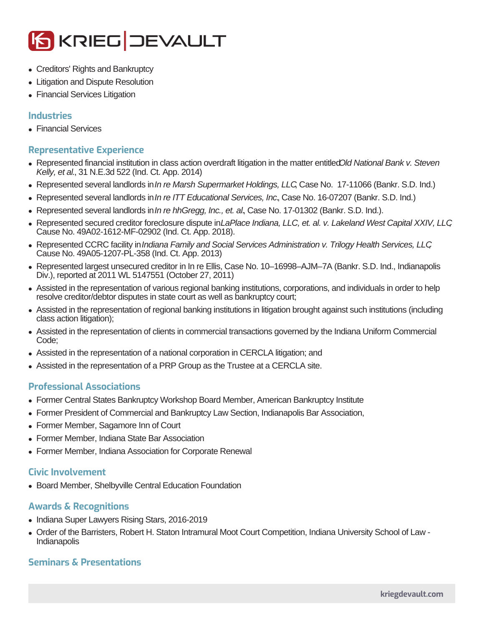

- Creditors' Rights and Bankruptcy
- Litigation and Dispute Resolution
- Financial Services Litigation

## **Industries**

• Financial Services

## **Representative Experience**

- Represented financial institution in class action overdraft litigation in the matter entitled Old National Bank v. Steven Kelly, et al., 31 N.E.3d 522 (Ind. Ct. App. 2014)
- Represented several landlords in In re Marsh Supermarket Holdings, LLC Case No. 17-11066 (Bankr. S.D. Ind.)
- Represented several landlords in In re ITT Educational Services, Inc., Case No. 16-07207 (Bankr. S.D. Ind.)
- Represented several landlords in In re hhGregg, Inc., et. al. Case No. 17-01302 (Bankr. S.D. Ind.).
- Represented secured creditor foreclosure dispute in LaPlace Indiana, LLC, et. al. v. Lakeland West Capital XXIV. LLC Cause No. 49A02-1612-MF-02902 (Ind. Ct. App. 2018).
- Represented CCRC facility in Indiana Family and Social Services Administration v. Trilogy Health Services, LLC Cause No. 49A05-1207-PL-358 (Ind. Ct. App. 2013)
- Represented largest unsecured creditor in In re Ellis, Case No. 10–16998–AJM–7A (Bankr. S.D. Ind., Indianapolis Div.), reported at 2011 WL 5147551 (October 27, 2011)
- Assisted in the representation of various regional banking institutions, corporations, and individuals in order to help resolve creditor/debtor disputes in state court as well as bankruptcy court;
- Assisted in the representation of regional banking institutions in litigation brought against such institutions (including class action litigation);
- Assisted in the representation of clients in commercial transactions governed by the Indiana Uniform Commercial Code;
- Assisted in the representation of a national corporation in CERCLA litigation; and
- Assisted in the representation of a PRP Group as the Trustee at a CERCLA site.

#### **Professional Associations**

- Former Central States Bankruptcy Workshop Board Member, American Bankruptcy Institute
- Former President of Commercial and Bankruptcy Law Section, Indianapolis Bar Association,
- Former Member, Sagamore Inn of Court
- Former Member, Indiana State Bar Association
- Former Member, Indiana Association for Corporate Renewal

#### **Civic Involvement**

Board Member, Shelbyville Central Education Foundation

#### **Awards & Recognitions**

- Indiana Super Lawyers Rising Stars, 2016-2019
- Order of the Barristers, Robert H. Staton Intramural Moot Court Competition, Indiana University School of Law **Indianapolis**

# **Seminars & Presentations**